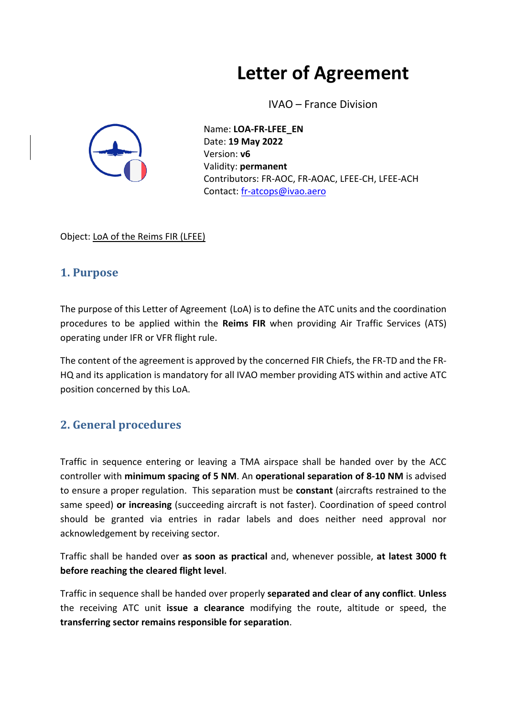# **Letter of Agreement**

IVAO – France Division



Name: **LOA-FR-LFEE\_EN** Date: **19 May 2022** Version: **v6** Validity: **permanent** Contributors: FR-AOC, FR-AOAC, LFEE-CH, LFEE-ACH Contact: [fr-atcops@ivao.aero](mailto:fr-atcops@ivao.aero)

Object: LoA of the Reims FIR (LFEE)

## **1. Purpose**

The purpose of this Letter of Agreement (LoA) is to define the ATC units and the coordination procedures to be applied within the **Reims FIR** when providing Air Traffic Services (ATS) operating under IFR or VFR flight rule.

The content of the agreement is approved by the concerned FIR Chiefs, the FR-TD and the FR-HQ and its application is mandatory for all IVAO member providing ATS within and active ATC position concerned by this LoA.

## **2. General procedures**

Traffic in sequence entering or leaving a TMA airspace shall be handed over by the ACC controller with **minimum spacing of 5 NM**. An **operational separation of 8-10 NM** is advised to ensure a proper regulation. This separation must be **constant** (aircrafts restrained to the same speed) **or increasing** (succeeding aircraft is not faster). Coordination of speed control should be granted via entries in radar labels and does neither need approval nor acknowledgement by receiving sector.

Traffic shall be handed over **as soon as practical** and, whenever possible, **at latest 3000 ft before reaching the cleared flight level**.

Traffic in sequence shall be handed over properly **separated and clear of any conflict**. **Unless**  the receiving ATC unit **issue a clearance** modifying the route, altitude or speed, the **transferring sector remains responsible for separation**.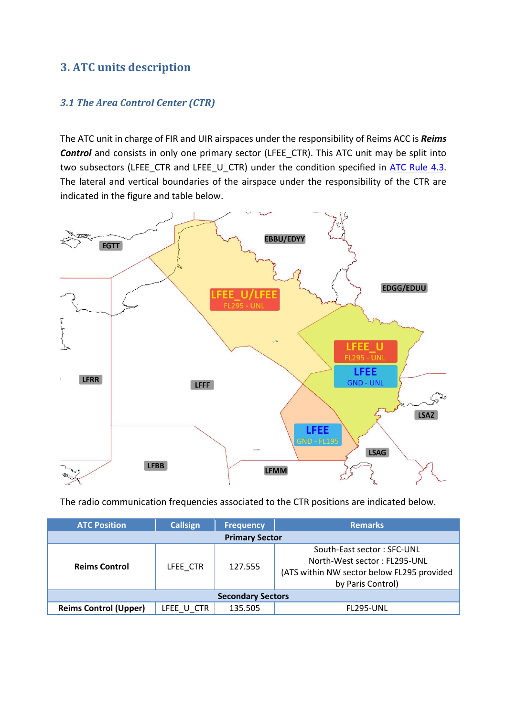## **3. ATC units description**

#### *3.1 The Area Control Center (CTR)*

The ATC unit in charge of FIR and UIR airspaces under the responsibility of Reims ACC is *Reims*  **Control** and consists in only one primary sector (LFEE\_CTR). This ATC unit may be split into two subsectors (LFEE\_CTR and LFEE\_U\_CTR) under the condition specified in [ATC Rule 4.3.](https://www.ivao.fr/en/pages/atc/rules#sector_h1_3) The lateral and vertical boundaries of the airspace under the responsibility of the CTR are indicated in the figure and table below.



The radio communication frequencies associated to the CTR positions are indicated below.

| <b>ATC Position</b>          | <b>Callsign</b> | <b>Frequency</b> | <b>Remarks</b>                                                                                                                |  |  |
|------------------------------|-----------------|------------------|-------------------------------------------------------------------------------------------------------------------------------|--|--|
| <b>Primary Sector</b>        |                 |                  |                                                                                                                               |  |  |
| <b>Reims Control</b>         | LFEE CTR        | 127.555          | South-East sector: SFC-UNL<br>North-West sector: FL295-UNL<br>(ATS within NW sector below FL295 provided<br>by Paris Control) |  |  |
| <b>Secondary Sectors</b>     |                 |                  |                                                                                                                               |  |  |
| <b>Reims Control (Upper)</b> | LFEE U CTR      | 135.505          | <b>FL295-UNL</b>                                                                                                              |  |  |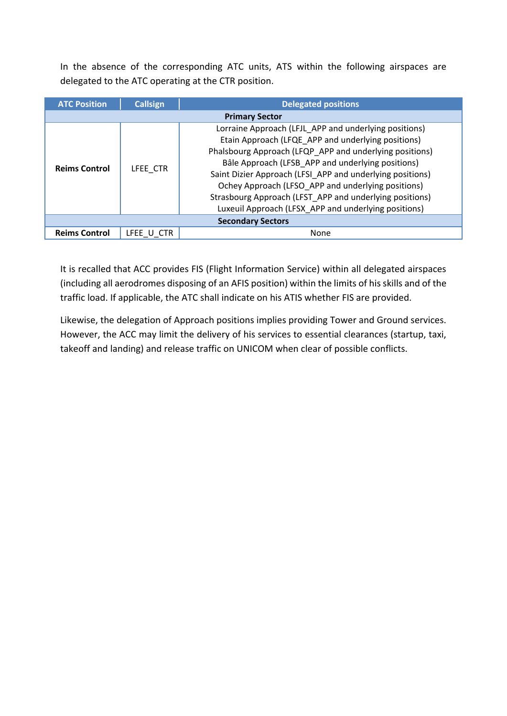In the absence of the corresponding ATC units, ATS within the following airspaces are delegated to the ATC operating at the CTR position.

| <b>ATC Position</b>      | <b>Callsign</b> | <b>Delegated positions</b>                                                                                                                                                                                                                                                                                                                                                                                                                                        |  |  |
|--------------------------|-----------------|-------------------------------------------------------------------------------------------------------------------------------------------------------------------------------------------------------------------------------------------------------------------------------------------------------------------------------------------------------------------------------------------------------------------------------------------------------------------|--|--|
| <b>Primary Sector</b>    |                 |                                                                                                                                                                                                                                                                                                                                                                                                                                                                   |  |  |
| <b>Reims Control</b>     | LFEE CTR        | Lorraine Approach (LFJL_APP and underlying positions)<br>Etain Approach (LFQE APP and underlying positions)<br>Phalsbourg Approach (LFQP APP and underlying positions)<br>Bâle Approach (LFSB APP and underlying positions)<br>Saint Dizier Approach (LFSI APP and underlying positions)<br>Ochey Approach (LFSO APP and underlying positions)<br>Strasbourg Approach (LFST_APP and underlying positions)<br>Luxeuil Approach (LFSX_APP and underlying positions) |  |  |
| <b>Secondary Sectors</b> |                 |                                                                                                                                                                                                                                                                                                                                                                                                                                                                   |  |  |
| <b>Reims Control</b>     | LFEE U CTR      | None                                                                                                                                                                                                                                                                                                                                                                                                                                                              |  |  |

It is recalled that ACC provides FIS (Flight Information Service) within all delegated airspaces (including all aerodromes disposing of an AFIS position) within the limits of his skills and of the traffic load. If applicable, the ATC shall indicate on his ATIS whether FIS are provided.

Likewise, the delegation of Approach positions implies providing Tower and Ground services. However, the ACC may limit the delivery of his services to essential clearances (startup, taxi, takeoff and landing) and release traffic on UNICOM when clear of possible conflicts.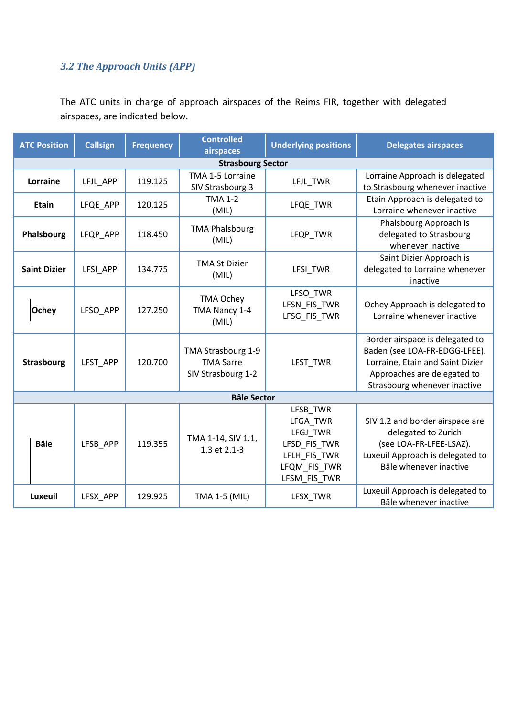## *3.2 The Approach Units (APP)*

The ATC units in charge of approach airspaces of the Reims FIR, together with delegated airspaces, are indicated below.

| <b>ATC Position</b> | <b>Callsign</b>          | <b>Frequency</b> | <b>Controlled</b><br>airspaces                               | <b>Underlying positions</b>                                                                      | <b>Delegates airspaces</b>                                                                                                                                          |  |
|---------------------|--------------------------|------------------|--------------------------------------------------------------|--------------------------------------------------------------------------------------------------|---------------------------------------------------------------------------------------------------------------------------------------------------------------------|--|
|                     | <b>Strasbourg Sector</b> |                  |                                                              |                                                                                                  |                                                                                                                                                                     |  |
| Lorraine            | LFJL APP                 | 119.125          | TMA 1-5 Lorraine<br>SIV Strasbourg 3                         | LFJL_TWR                                                                                         | Lorraine Approach is delegated<br>to Strasbourg whenever inactive                                                                                                   |  |
| <b>Etain</b>        | LFQE APP                 | 120.125          | <b>TMA 1-2</b><br>(MIL)                                      | LFQE_TWR                                                                                         | Etain Approach is delegated to<br>Lorraine whenever inactive                                                                                                        |  |
| Phalsbourg          | LFQP_APP                 | 118.450          | <b>TMA Phalsbourg</b><br>(MIL)                               | LFQP_TWR                                                                                         | Phalsbourg Approach is<br>delegated to Strasbourg<br>whenever inactive                                                                                              |  |
| <b>Saint Dizier</b> | LFSI_APP                 | 134.775          | <b>TMA St Dizier</b><br>(MIL)                                | LFSI_TWR                                                                                         | Saint Dizier Approach is<br>delegated to Lorraine whenever<br>inactive                                                                                              |  |
| <b>Ochey</b>        | LFSO APP                 | 127.250          | <b>TMA Ochey</b><br>TMA Nancy 1-4<br>(MIL)                   | LFSO_TWR<br>LFSN_FIS_TWR<br>LFSG_FIS_TWR                                                         | Ochey Approach is delegated to<br>Lorraine whenever inactive                                                                                                        |  |
| <b>Strasbourg</b>   | LFST APP                 | 120.700          | TMA Strasbourg 1-9<br><b>TMA Sarre</b><br>SIV Strasbourg 1-2 | LFST TWR                                                                                         | Border airspace is delegated to<br>Baden (see LOA-FR-EDGG-LFEE).<br>Lorraine, Etain and Saint Dizier<br>Approaches are delegated to<br>Strasbourg whenever inactive |  |
| <b>Bâle Sector</b>  |                          |                  |                                                              |                                                                                                  |                                                                                                                                                                     |  |
| <b>Bâle</b>         | LFSB APP                 | 119.355          | TMA 1-14, SIV 1.1,<br>1.3 et 2.1-3                           | LFSB_TWR<br>LFGA_TWR<br>LFGJ TWR<br>LFSD_FIS_TWR<br>LFLH_FIS_TWR<br>LFQM_FIS_TWR<br>LFSM_FIS_TWR | SIV 1.2 and border airspace are<br>delegated to Zurich<br>(see LOA-FR-LFEE-LSAZ).<br>Luxeuil Approach is delegated to<br>Bâle whenever inactive                     |  |
| Luxeuil             | LFSX_APP                 | 129.925          | TMA 1-5 (MIL)                                                | LFSX_TWR                                                                                         | Luxeuil Approach is delegated to<br>Bâle whenever inactive                                                                                                          |  |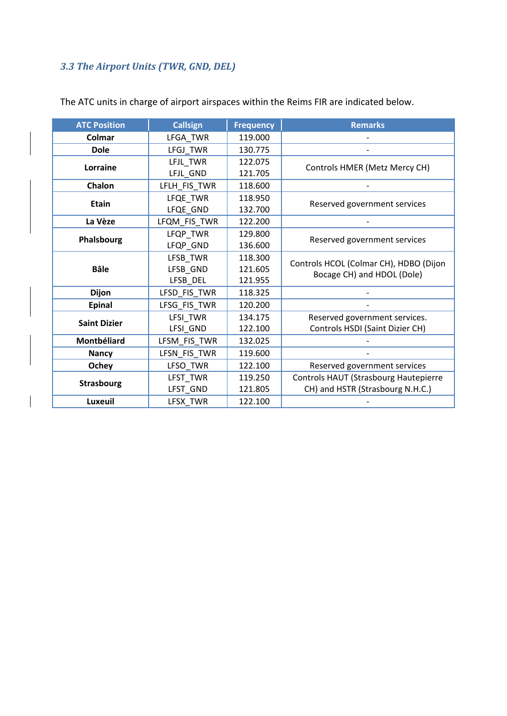# *3.3 The Airport Units (TWR, GND, DEL)*

 $\overline{\phantom{a}}$ 

| <b>ATC Position</b> | <b>Callsign</b>     | <b>Frequency</b> | <b>Remarks</b>                         |
|---------------------|---------------------|------------------|----------------------------------------|
| Colmar              | LFGA TWR            | 119.000          |                                        |
| <b>Dole</b>         | LFGJ_TWR            | 130.775          |                                        |
| Lorraine            | LFJL TWR            | 122.075          | Controls HMER (Metz Mercy CH)          |
|                     | LFJL_GND            | 121.705          |                                        |
| Chalon              | LFLH_FIS_TWR        | 118.600          |                                        |
| <b>Etain</b>        | LFQE TWR            | 118.950          | Reserved government services           |
|                     | LFQE_GND            | 132.700          |                                        |
| La Vèze             | LFQM_FIS_TWR        | 122.200          |                                        |
|                     | LFQP_TWR            | 129.800          | Reserved government services           |
| Phalsbourg          | LFQP_GND            | 136.600          |                                        |
|                     | LFSB_TWR            | 118.300          | Controls HCOL (Colmar CH), HDBO (Dijon |
| <b>Bâle</b>         | LFSB_GND            | 121.605          | Bocage CH) and HDOL (Dole)             |
|                     | LFSB_DEL            | 121.955          |                                        |
| <b>Dijon</b>        | LFSD_FIS_TWR        | 118.325          |                                        |
| <b>Epinal</b>       | LFSG_FIS_TWR        | 120.200          |                                        |
| <b>Saint Dizier</b> | LFSI TWR            | 134.175          | Reserved government services.          |
|                     | LFSI_GND            | 122.100          | Controls HSDI (Saint Dizier CH)        |
| Montbéliard         | LFSM_FIS_TWR        | 132.025          |                                        |
| <b>Nancy</b>        | LFSN_FIS_TWR        | 119.600          |                                        |
| Ochey               | LFSO_TWR<br>122.100 |                  | Reserved government services           |
|                     | LFST_TWR            | 119.250          | Controls HAUT (Strasbourg Hautepierre  |
| <b>Strasbourg</b>   | LFST_GND            | 121.805          | CH) and HSTR (Strasbourg N.H.C.)       |
| Luxeuil             | LFSX_TWR            | 122.100          |                                        |

The ATC units in charge of airport airspaces within the Reims FIR are indicated below.